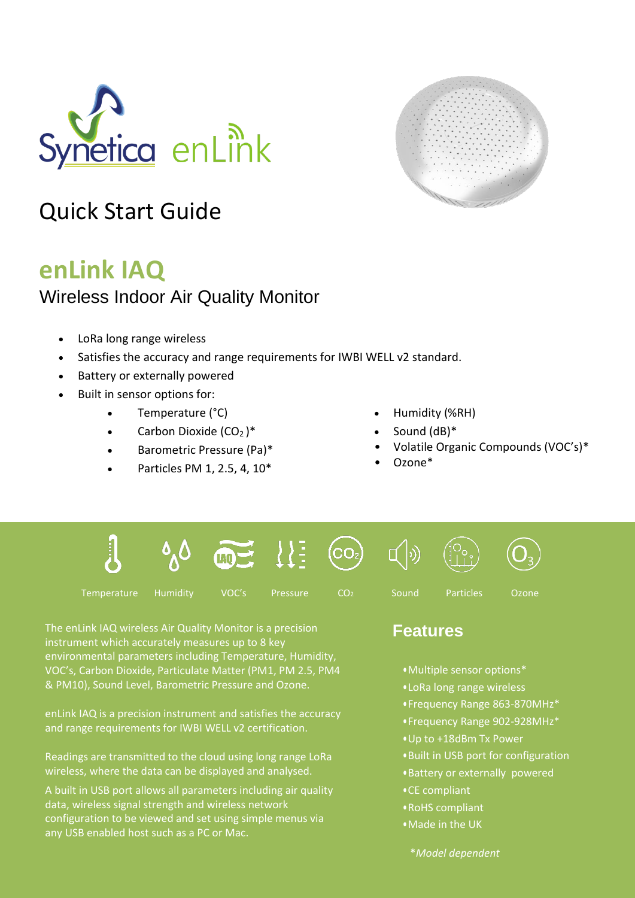



# Quick Start Guide

## **enLink IAQ**

### Wireless Indoor Air Quality Monitor

- LoRa long range wireless
- Satisfies the accuracy and range requirements for IWBI WELL v2 standard.
- Battery or externally powered
- Built in sensor options for:
	- Temperature (°C) Humidity (%RH)
	- Carbon Dioxide  $(CO_2)^*$  Sound  $(dB)^*$
	- Barometric Pressure (Pa)\*
	- Particles PM 1, 2.5, 4, 10\*
- 
- 
- Volatile Organic Compounds (VOC's)\*
- Ozone\*





Temperature Humidity VOC's Pressure CO<sub>2</sub> Sound Particles Ozone

The enLink IAQ wireless Air Quality Monitor is a precision

environmental parameters including Temperature, Humidity, VOC's, Carbon Dioxide, Particulate Matter (PM1, PM 2.5, PM4 & PM10), Sound Level, Barometric Pressure and Ozone.

instrument which accurately measures up to 8 key

 $\left(\mathrm{CO}_2\right)$ 

## **Features**

- **•**Multiple sensor options\*
- **•** LoRa long range wireless
- **•** Frequency Range 863-870MHz\*
- **•** Frequency Range 902-928MHz\*
- **•**Up to +18dBm Tx Power
- **•**Built in USB port for configuration
- **•**Battery or externally powered
- **•**CE compliant
- **•**RoHS compliant
- **•**Made in the UK

enLink IAQ is a precision instrument and satisfies the accuracy and range requirements for IWBI WELL v2 certification.

Readings are transmitted to the cloud using long range LoRa wireless, where the data can be displayed and analysed.

A built in USB port allows all parameters including air quality data, wireless signal strength and wireless network configuration to be viewed and set using simple menus via any USB enabled host such as a PC or Mac.

\**Model dependent*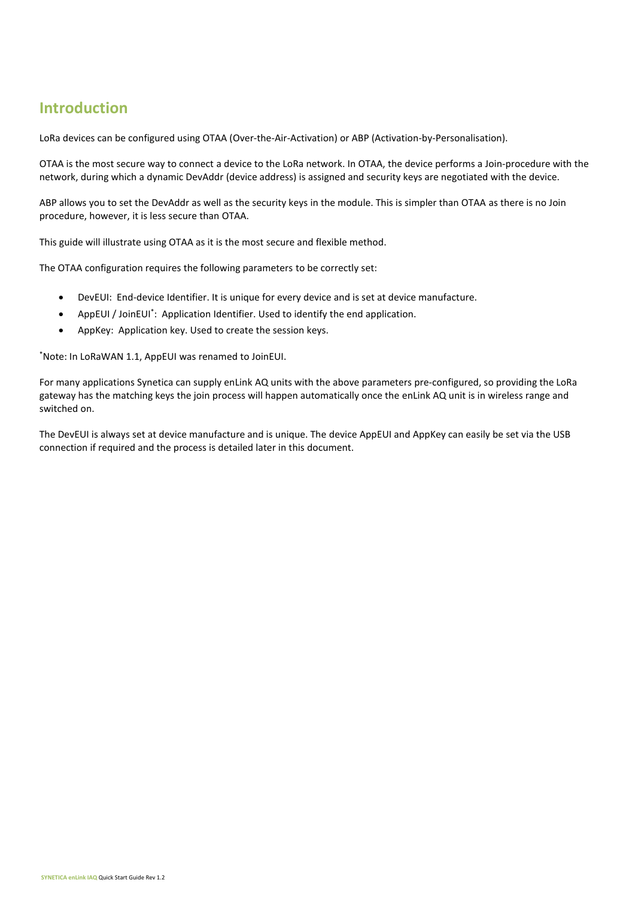### **Introduction**

LoRa devices can be configured using OTAA (Over-the-Air-Activation) or ABP (Activation-by-Personalisation).

OTAA is the most secure way to connect a device to the LoRa network. In OTAA, the device performs a Join-procedure with the network, during which a dynamic DevAddr (device address) is assigned and security keys are negotiated with the device.

ABP allows you to set the DevAddr as well as the security keys in the module. This is simpler than OTAA as there is no Join procedure, however, it is less secure than OTAA.

This guide will illustrate using OTAA as it is the most secure and flexible method.

The OTAA configuration requires the following parameters to be correctly set:

- DevEUI: End-device Identifier. It is unique for every device and is set at device manufacture.
- AppEUI / JoinEUI<sup>\*</sup>: Application Identifier. Used to identify the end application.
- AppKey: Application key. Used to create the session keys.

\*Note: In LoRaWAN 1.1, AppEUI was renamed to JoinEUI.

For many applications Synetica can supply enLink AQ units with the above parameters pre-configured, so providing the LoRa gateway has the matching keys the join process will happen automatically once the enLink AQ unit is in wireless range and switched on.

The DevEUI is always set at device manufacture and is unique. The device AppEUI and AppKey can easily be set via the USB connection if required and the process is detailed later in this document.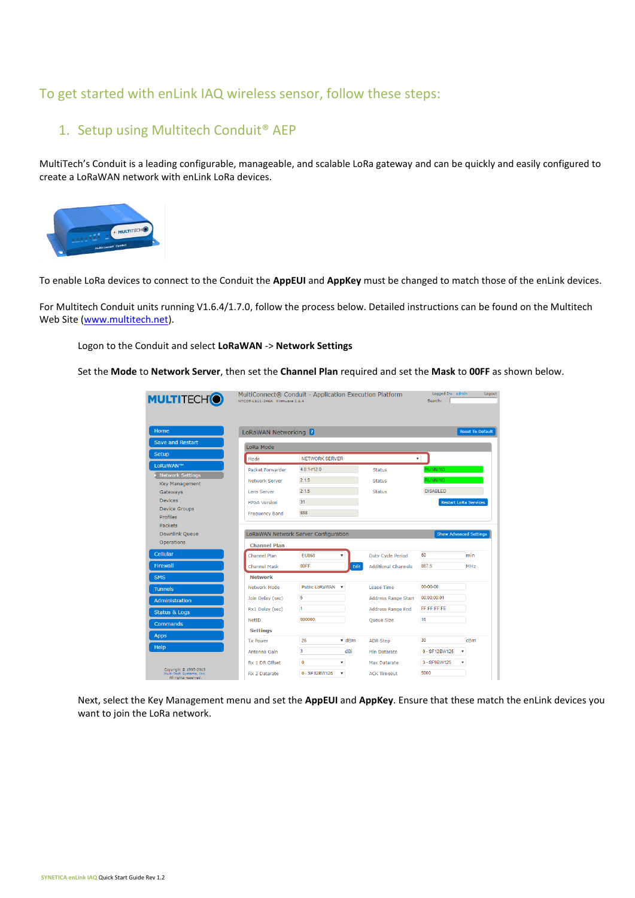#### To get started with enLink IAQ wireless sensor, follow these steps:

#### 1. Setup using Multitech Conduit® AEP

MultiTech's Conduit is a leading configurable, manageable, and scalable LoRa gateway and can be quickly and easily configured to create a LoRaWAN network with enLink LoRa devices.



To enable LoRa devices to connect to the Conduit the **AppEUI** and **AppKey** must be changed to match those of the enLink devices.

For Multitech Conduit units running V1.6.4/1.7.0, follow the process below. Detailed instructions can be found on the Multitech Web Site [\(www.multitech.net\)](http://www.multitech.net/).

Logon to the Conduit and select **LoRaWAN** -> **Network Settings**

Set the **Mode** to **Network Server**, then set the **Channel Plan** required and set the **Mask** to **00FF** as shown below.

| <b>MULTITECH<sup>®</sup></b>                                  | MTCDT-LEU1-246A Firmware 1.6.4 | MultiConnect® Conduit - Application Execution Platform |                                    | Logged In: admin<br>Search: | Logout                        |
|---------------------------------------------------------------|--------------------------------|--------------------------------------------------------|------------------------------------|-----------------------------|-------------------------------|
| Home                                                          | LoRaWAN Networking <b>P</b>    |                                                        |                                    |                             | <b>Reset To Default</b>       |
| Save and Restart                                              | LoRa Mode                      |                                                        |                                    |                             |                               |
| Setup                                                         | Mode                           | <b>NETWORK SERVER</b>                                  |                                    | ▼                           |                               |
| LoRaWAN™                                                      | Packet Forwarder               | $4.0.1 -$ r12.0                                        | <b>Status</b>                      | <b>RUNNING</b>              |                               |
| <b>Network Settings</b>                                       |                                | 2.1.5                                                  |                                    | <b>RUNNING</b>              |                               |
| <b>Key Management</b>                                         | Network Server                 |                                                        | <b>Status</b>                      |                             |                               |
| Gateways                                                      | Lens Server                    | 2.1.5                                                  | <b>Status</b>                      | <b>DISABLED</b>             |                               |
| Devices<br><b>Device Groups</b>                               | <b>FPGA Version</b>            | 31                                                     |                                    |                             | <b>Restart LoRa Services</b>  |
| Profiles                                                      | <b>Frequency Band</b>          | 868                                                    |                                    |                             |                               |
| Packets                                                       |                                |                                                        |                                    |                             |                               |
| <b>Downlink Queue</b>                                         |                                | LoRaWAN Network Server Configuration                   |                                    |                             | <b>Show Advanced Settings</b> |
| Operations                                                    | <b>Channel Plan</b>            |                                                        |                                    |                             |                               |
| Cellular                                                      | Channel Plan                   | <b>EU868</b>                                           | <b>Duty Cycle Period</b>           | 60                          | min                           |
| <b>Firewall</b>                                               | <b>Channel Mask</b>            | 00FF                                                   | Edit<br><b>Additional Channels</b> | 867.5                       | <b>MHz</b>                    |
| <b>SMS</b>                                                    | <b>Network</b>                 |                                                        |                                    |                             |                               |
| <b>Tunnels</b>                                                | Network Mode                   | <b>Public LoRaWAN</b>                                  | <b>Lease Time</b>                  | $00 - 00 - 00$              |                               |
| Administration                                                | Join Delay (sec)               | 5                                                      | <b>Address Range Start</b>         | 00:00:00:01                 |                               |
|                                                               | Rx1 Delay (sec)                | 1                                                      | Address Range End                  | FE:FE:FE:FE                 |                               |
| <b>Status &amp; Logs</b>                                      | NetID                          | 000000                                                 | <b>Queue Size</b>                  | 16                          |                               |
| Commands                                                      | <b>Settings</b>                |                                                        |                                    |                             |                               |
| <b>Apps</b>                                                   |                                | $\overline{\mathbf{v}}$ dBm                            |                                    | 30                          | cBm                           |
| Help                                                          | <b>Tx Power</b>                | 26                                                     | <b>ADR Step</b>                    |                             |                               |
|                                                               | Antenna Gain                   | 3<br>dBi                                               | Min Datarate                       | 0 - SF12BW125               | $\boldsymbol{\mathrm{v}}$     |
|                                                               | Rx 1 DR Offset                 | $\mathbf{0}$<br>۰.                                     | Max Datarate                       | 3 - SF9BW125                | ۰.                            |
| Copyright @ 1995-2019<br>Multi-Tech Systems, Inc.<br>All stal | Rx 2 Datarate                  | 0 - SF12BW125<br>$\boldsymbol{\mathrm{v}}$             | <b>ACK Timeout</b>                 | 5000                        |                               |

Next, select the Key Management menu and set the **AppEUI** and **AppKey**. Ensure that these match the enLink devices you want to join the LoRa network.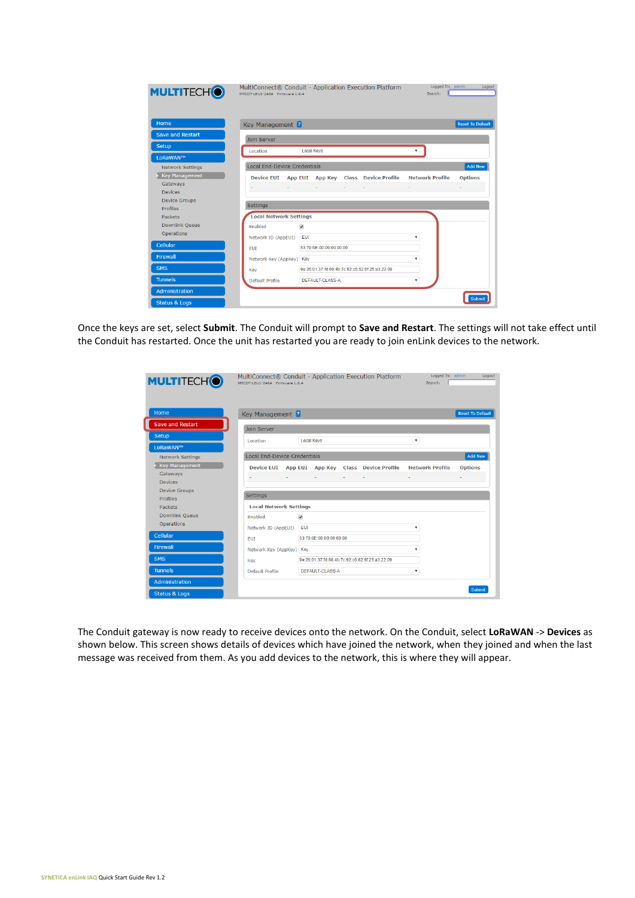| <b>MULTITECHO</b>                | MultiConnect® Conduit - Application Execution Platform<br>MTCDT-LEU1-246A Firmware 1.6.4<br>Search: | Logged In: admin<br>Logout |
|----------------------------------|-----------------------------------------------------------------------------------------------------|----------------------------|
| Home                             | Key Management ?                                                                                    | <b>Reset To Default</b>    |
| Save and Restart                 | <b>Join Server</b>                                                                                  |                            |
| Setup                            | Location<br><b>Local Keys</b>                                                                       |                            |
| LoRaWAN™                         |                                                                                                     |                            |
| <b>Network Settings</b>          | <b>Local End-Device Credentials</b>                                                                 | <b>Add New</b>             |
| <b>Key Management</b>            | App EUI App Key Class Device Profile<br><b>Network Profile</b><br><b>Device EUI</b>                 | <b>Options</b>             |
| Gateways                         | All Controller<br>All Contractors<br>And the Contract of                                            |                            |
| <b>Devices</b>                   |                                                                                                     |                            |
| <b>Device Groups</b><br>Profiles | <b>Settings</b>                                                                                     |                            |
| <b>Packets</b>                   | <b>Local Network Settings</b>                                                                       |                            |
| Downlink Queue                   | Enabled<br>$\overline{\mathbf{v}}$                                                                  |                            |
| Operations                       | EUI<br>۰                                                                                            |                            |
| Cellular                         | Network ID (AppEUI)                                                                                 |                            |
|                                  | 53:79:6E:00:00:00:00:00<br><b>EUI</b>                                                               |                            |
| <b>Firewall</b>                  | Network Key (AppKey) Key<br>$\overline{\mathbf{v}}$                                                 |                            |
| <b>SMS</b>                       | 9e:26:01:37:fd:08:4b:7c:92:c6:62:6f:25:a3:22:09<br>Key                                              |                            |
| <b>Tunnels</b>                   | <b>DEFAULT-CLASS-A</b><br>Default Profile<br>۷                                                      |                            |
| Administration                   |                                                                                                     |                            |
| <b>Status &amp; Logs</b>         |                                                                                                     | Submit                     |

Once the keys are set, select **Submit**. The Conduit will prompt to **Save and Restart**. The settings will not take effect until the Conduit has restarted. Once the unit has restarted you are ready to join enLink devices to the network.

| <b>MULTITECHO</b>        | MTCDT-LEU1-246A Firmware 1.6.4      | MultiConnect® Conduit - Application Execution Platform | Logged In: admin<br>Search: | Logout                  |
|--------------------------|-------------------------------------|--------------------------------------------------------|-----------------------------|-------------------------|
| Home                     | Key Management <sup>2</sup>         |                                                        |                             | <b>Reset To Default</b> |
| <b>Save and Restart</b>  | <b>Join Server</b>                  |                                                        |                             |                         |
| Setup                    | Location                            | <b>Local Kevs</b>                                      | $\overline{\mathbf{v}}$     |                         |
| LoRaWAN™                 |                                     |                                                        |                             |                         |
| <b>Network Settings</b>  | <b>Local End-Device Credentials</b> |                                                        |                             | <b>Add New</b>          |
| <b>Key Management</b>    |                                     | Device EUI App EUI App Key Class Device Profile        | <b>Network Profile</b>      | <b>Options</b>          |
| Gateways                 |                                     |                                                        |                             |                         |
| <b>Devices</b>           |                                     |                                                        |                             |                         |
| <b>Device Groups</b>     | Settings                            |                                                        |                             |                         |
| <b>Profiles</b>          |                                     |                                                        |                             |                         |
| Packets                  | <b>Local Network Settings</b>       |                                                        |                             |                         |
| <b>Downlink Queue</b>    | <b>Enabled</b>                      | $\overline{\mathcal{L}}$                               |                             |                         |
| Operations               | Network ID (AppEUI)                 | <b>EUI</b>                                             | ۰                           |                         |
| Cellular                 | <b>EUI</b>                          | 53:79:6E:00:00:00:00:00                                |                             |                         |
| <b>Firewall</b>          | Network Key (AppKey) Key            |                                                        | ۰                           |                         |
| <b>SMS</b>               | Key                                 | 9e1261011371fd10814b17c1921c616216f1251a3122109        |                             |                         |
| <b>Tunnels</b>           | Default Profile                     | DEFAULT-CLASS-A                                        | ۰                           |                         |
| Administration           |                                     |                                                        |                             |                         |
| <b>Status &amp; Logs</b> |                                     |                                                        |                             | Submit                  |

The Conduit gateway is now ready to receive devices onto the network. On the Conduit, select **LoRaWAN** -> **Devices** as shown below. This screen shows details of devices which have joined the network, when they joined and when the last message was received from them. As you add devices to the network, this is where they will appear.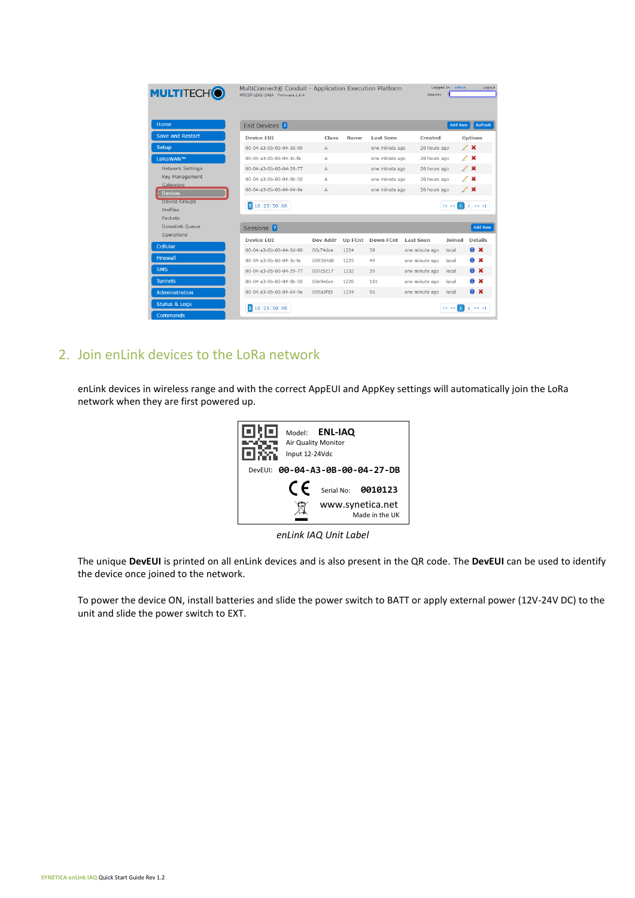| <b>MULTITECH<sup>®</sup></b>                | MultiConnect® Conduit - Application Execution Platform<br>MTCDT-LEU1-246A Firmware 1.6.4 |                 |                |                  | Search:          | Logged In: admin    | Logout             |
|---------------------------------------------|------------------------------------------------------------------------------------------|-----------------|----------------|------------------|------------------|---------------------|--------------------|
| Home                                        | End Devices <sup>2</sup>                                                                 |                 |                |                  |                  | Add New             | Refresh            |
| <b>Save and Restart</b>                     | <b>Device EUI</b>                                                                        | <b>Class</b>    | <b>Name</b>    | <b>Last Seen</b> | <b>Created</b>   |                     | <b>Options</b>     |
| Setup                                       | 00-04-a3-0b-00-04-3d-90                                                                  | $\mathbb{A}$    |                | one minute ago   | 20 hours ago     |                     | $\angle x$         |
| LoRaWAN™                                    | 00-04-a3-0b-00-04-3c-fe                                                                  | A               |                | one minute ago   | 20 hours ago     |                     | $\lambda$ x        |
| <b>Network Settings</b>                     | 00-04-a3-0b-00-04-29-77                                                                  | $\mathsf{A}$    |                | one minute ago   | 20 hours ago     |                     | $\angle x$         |
| <b>Key Management</b>                       | 00-04-a3-0b-00-04-0b-50                                                                  | A               |                | one minute ago   | 20 hours ago     |                     | $\angle x$         |
| Gateways<br><b>Devices</b>                  | 00-04-a3-0b-00-04-64-9e                                                                  | $\mathsf{A}$    |                | one minute ago   | 20 hours ago     |                     | $\angle x$         |
| <b>Device Groups</b><br>Profiles            | 5 10 25 50 All                                                                           |                 |                |                  |                  | $ < < 1$ 2 >> >     |                    |
| Packets                                     |                                                                                          |                 |                |                  |                  |                     |                    |
| <b>Downlink Oueue</b>                       | Sessions <sup>2</sup>                                                                    |                 |                |                  |                  |                     | <b>Add New</b>     |
| Operations                                  | <b>Device FUT</b>                                                                        | <b>Dev Addr</b> | <b>Up FCnt</b> | <b>Down FCnt</b> | <b>Last Seen</b> | <b>Joined</b>       | <b>Details</b>     |
| Cellular                                    | 00-04-a3-0b-00-04-3d-90                                                                  | 00c74dce        | 1224           | 39               | one minute ago   | local               | $\bullet$ $\times$ |
| <b>Firewall</b>                             | 00-04-a3-0b-00-04-3c-fe                                                                  | 009364d6        | 1225           | 49               | one minute ago   | local               | a x                |
| <b>SMS</b>                                  | 00-04-a3-0b-00-04-29-77                                                                  | 007c5c17        | 1232           | 39               | one minute ago   | local               | a x                |
| <b>Tunnels</b>                              | 00-04-a3-0b-00-04-0b-50                                                                  | 00e9e6ce        | 1226           | 181              | one minute ago   | local               | a x                |
| <b>Administration</b>                       | 00-04-a3-0b-00-04-64-9e                                                                  | 005a5fd5        | 1224           | 56               | one minute ago   | local               | $\bullet$ $\times$ |
| <b>Status &amp; Logs</b><br><b>Commands</b> | 5 10 25 50 All                                                                           |                 |                |                  |                  | < <<br>$\mathbf{1}$ | $2 \implies$       |

#### 2. Join enLink devices to the LoRa network

enLink devices in wireless range and with the correct AppEUI and AppKey settings will automatically join the LoRa network when they are first powered up.

|         | Input 12-24Vdc | Model: ENL-IAQ<br>Air Quality Monitor |                                    |
|---------|----------------|---------------------------------------|------------------------------------|
| DevEUI: |                |                                       | 00-04-A3-0B-00-04-27-DB            |
|         | F              |                                       | Serial No: 0010123                 |
|         |                |                                       | www.synetica.net<br>Made in the UK |

*enLink IAQ Unit Label*

The unique **DevEUI** is printed on all enLink devices and is also present in the QR code. The **DevEUI** can be used to identify the device once joined to the network.

To power the device ON, install batteries and slide the power switch to BATT or apply external power (12V-24V DC) to the unit and slide the power switch to EXT.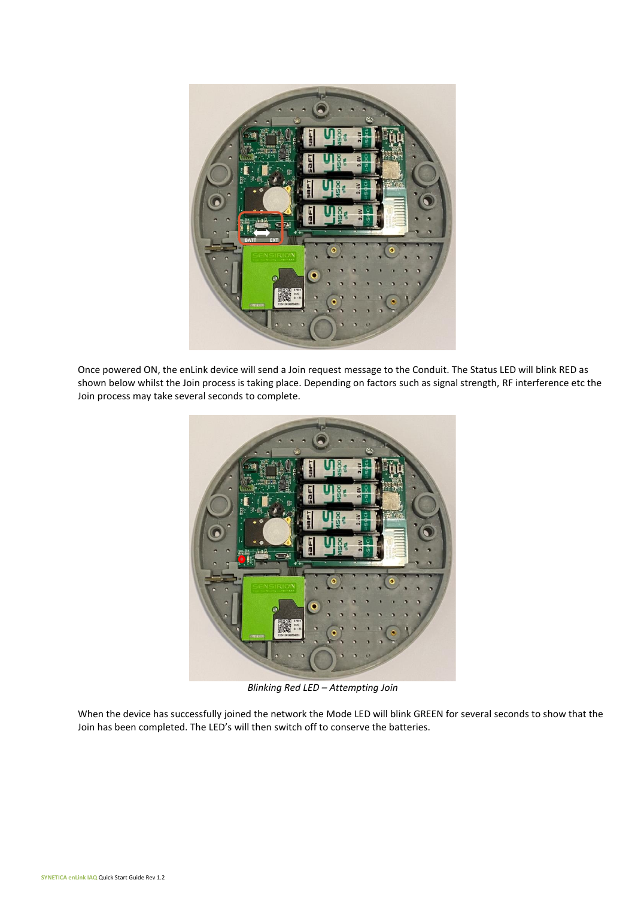

Once powered ON, the enLink device will send a Join request message to the Conduit. The Status LED will blink RED as shown below whilst the Join process is taking place. Depending on factors such as signal strength, RF interference etc the Join process may take several seconds to complete.



*Blinking Red LED – Attempting Join*

When the device has successfully joined the network the Mode LED will blink GREEN for several seconds to show that the Join has been completed. The LED's will then switch off to conserve the batteries.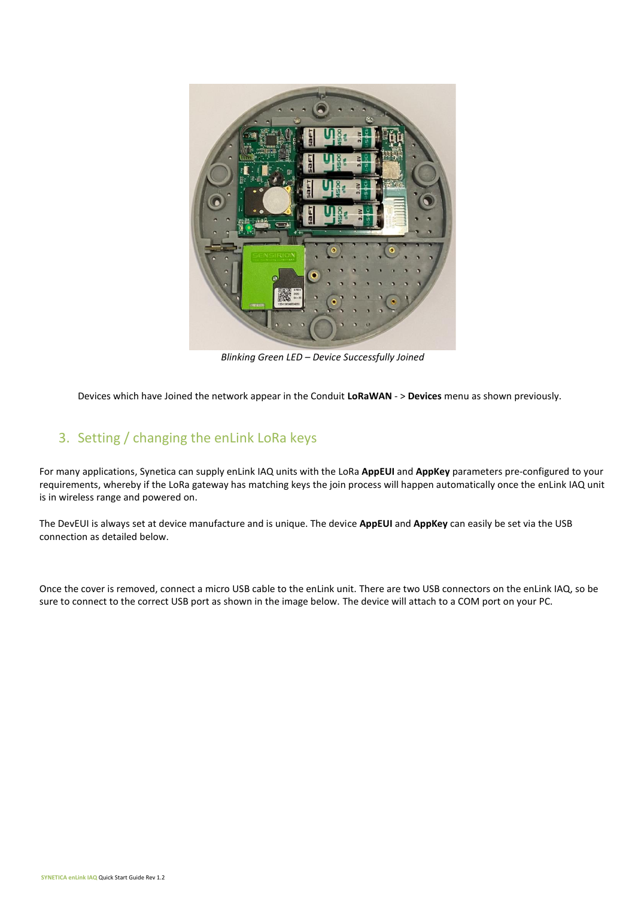

*Blinking Green LED – Device Successfully Joined*

Devices which have Joined the network appear in the Conduit **LoRaWAN** - > **Devices** menu as shown previously.

#### 3. Setting / changing the enLink LoRa keys

For many applications, Synetica can supply enLink IAQ units with the LoRa **AppEUI** and **AppKey** parameters pre-configured to your requirements, whereby if the LoRa gateway has matching keys the join process will happen automatically once the enLink IAQ unit is in wireless range and powered on.

The DevEUI is always set at device manufacture and is unique. The device **AppEUI** and **AppKey** can easily be set via the USB connection as detailed below.

Once the cover is removed, connect a micro USB cable to the enLink unit. There are two USB connectors on the enLink IAQ, so be sure to connect to the correct USB port as shown in the image below. The device will attach to a COM port on your PC.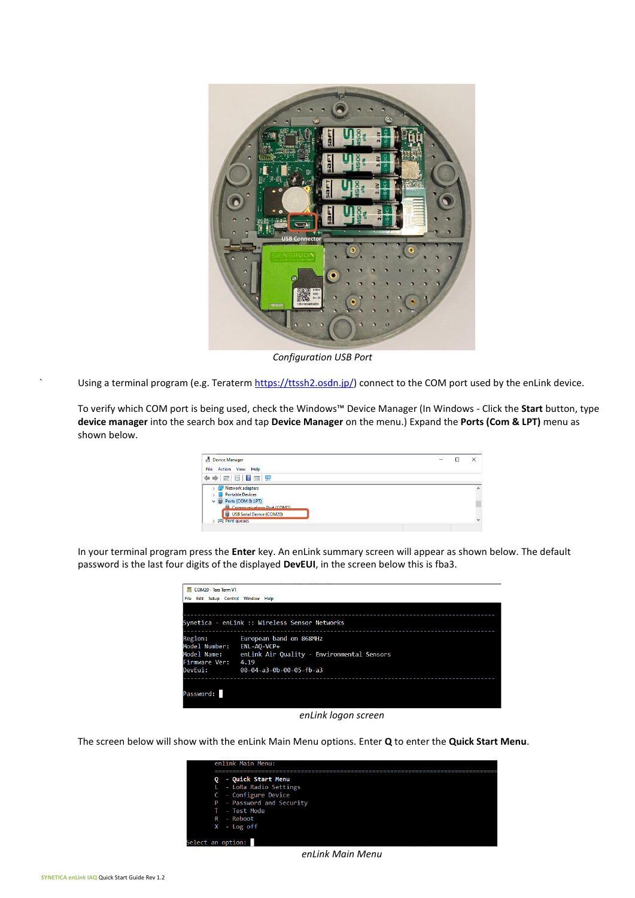

*Configuration USB Port*

Using a terminal program (e.g. Teraterm [https://ttssh2.osdn.jp/\)](https://ttssh2.osdn.jp/) connect to the COM port used by the enLink device.

To verify which COM port is being used, check the Windows™ Device Manager (In Windows - Click the **Start** button, type **device manager** into the search box and tap **Device Manager** on the menu.) Expand the **Ports (Com & LPT)** menu as shown below.

| <b>Device Manager</b>                                                                                                                                  | - | $\times$                 |
|--------------------------------------------------------------------------------------------------------------------------------------------------------|---|--------------------------|
| Action View Help<br>File                                                                                                                               |   |                          |
| $\Leftrightarrow$ $\blacksquare$ $\blacksquare$ $\blacksquare$ $\blacksquare$                                                                          |   |                          |
| Network adapters<br><b>Portable Devices</b><br>▽ ● Ports (COM & LPT)<br>Communications Port (COM1)<br>USB Serial Device (COM20)<br><b>Print queues</b> |   | $\wedge$<br>$\checkmark$ |

In your terminal program press the **Enter** key. An enLink summary screen will appear as shown below. The default password is the last four digits of the displayed **DevEUI**, in the screen below this is fba3.

| COM20 - Tera Term VT<br><b>File</b>                                 | Edit Setup Control Window Help                                                                                                            |
|---------------------------------------------------------------------|-------------------------------------------------------------------------------------------------------------------------------------------|
|                                                                     | Synetica - enLink :: Wireless Sensor Networks                                                                                             |
| Region:<br>Model Number:<br>Model Name:<br>Firmware Ver:<br>DevEui: | European band on 868MHz<br>$ENL-AO-VCP+$<br>enLink Air Quality - Environmental Sensors<br>4.19<br>$00 - 04 - a3 - 0b - 00 - 05 - fh - a3$ |
| Password:                                                           |                                                                                                                                           |

*enLink logon screen*

The screen below will show with the enLink Main Menu options. Enter **Q** to enter the **Quick Start Menu**.



*enLink Main Menu*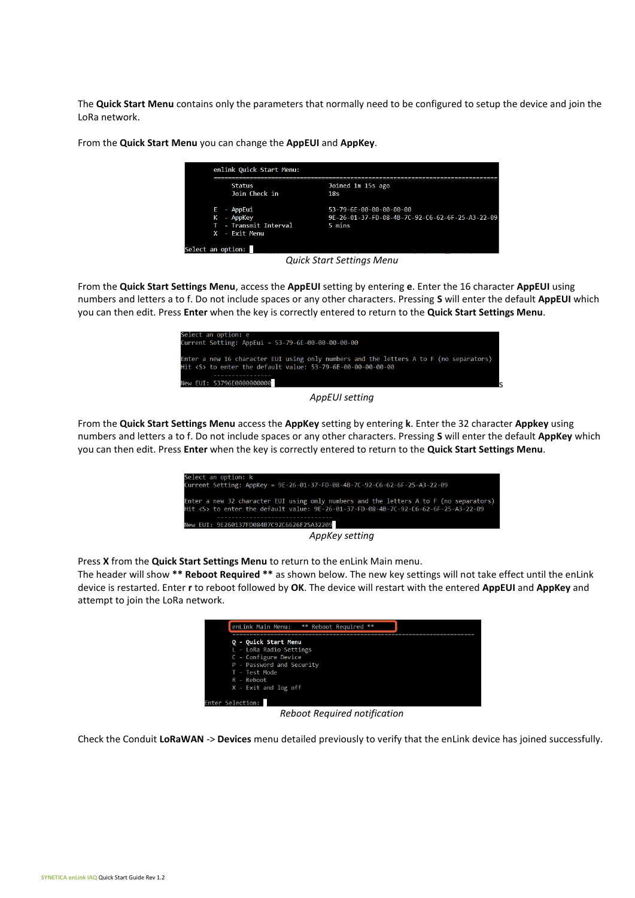The **Quick Start Menu** contains only the parameters that normally need to be configured to setup the device and join the LoRa network.

From the **Quick Start Menu** you can change the **AppEUI** and **AppKey**.

|   | <b>Status</b>         | Joined 1m 15s ago                               |
|---|-----------------------|-------------------------------------------------|
|   | Join Check in         | 18s                                             |
|   | - AppEui              | 53-79-6E-00-00-00-00-00                         |
| κ | - AppKey              | 9E-26-01-37-FD-08-4B-7C-92-C6-62-6F-25-A3-22-09 |
|   | T - Transmit Interval | 5 mins                                          |
|   | X - Exit Menu         |                                                 |

*Quick Start Settings Menu*

From the **Quick Start Settings Menu**, access the **AppEUI** setting by entering **e**. Enter the 16 character **AppEUI** using numbers and letters a to f. Do not include spaces or any other characters. Pressing **S** will enter the default **AppEUI** which you can then edit. Press **Enter** when the key is correctly entered to return to the **Quick Start Settings Menu**.



*AppEUI setting*

From the **Quick Start Settings Menu** access the **AppKey** setting by entering **k**. Enter the 32 character **Appkey** using numbers and letters a to f. Do not include spaces or any other characters. Pressing **S** will enter the default **AppKey** which you can then edit. Press **Enter** when the key is correctly entered to return to the **Quick Start Settings Menu**.

| Select an option: k                                                                                                                                                               |
|-----------------------------------------------------------------------------------------------------------------------------------------------------------------------------------|
| Current Setting: AppKey = 9E-26-01-37-FD-08-4B-7C-92-C6-62-6F-25-A3-22-09                                                                                                         |
| Enter a new 32 character EUI using only numbers and the letters A to F (no separators)<br>Hit <s> to enter the default value: 9E-26-01-37-FD-08-4B-7C-92-C6-62-6F-25-A3-22-09</s> |
| New EUI: 9E260137FD084B7C92C6626F25A32209                                                                                                                                         |
| AppKey setting                                                                                                                                                                    |
|                                                                                                                                                                                   |

Press **X** from the **Quick Start Settings Menu** to return to the enLink Main menu.

The header will show **\*\* Reboot Required \*\*** as shown below. The new key settings will not take effect until the enLink device is restarted. Enter **r** to reboot followed by **OK**. The device will restart with the entered **AppEUI** and **AppKey** and attempt to join the LoRa network.



*Reboot Required notification*

Check the Conduit **LoRaWAN** -> **Devices** menu detailed previously to verify that the enLink device has joined successfully.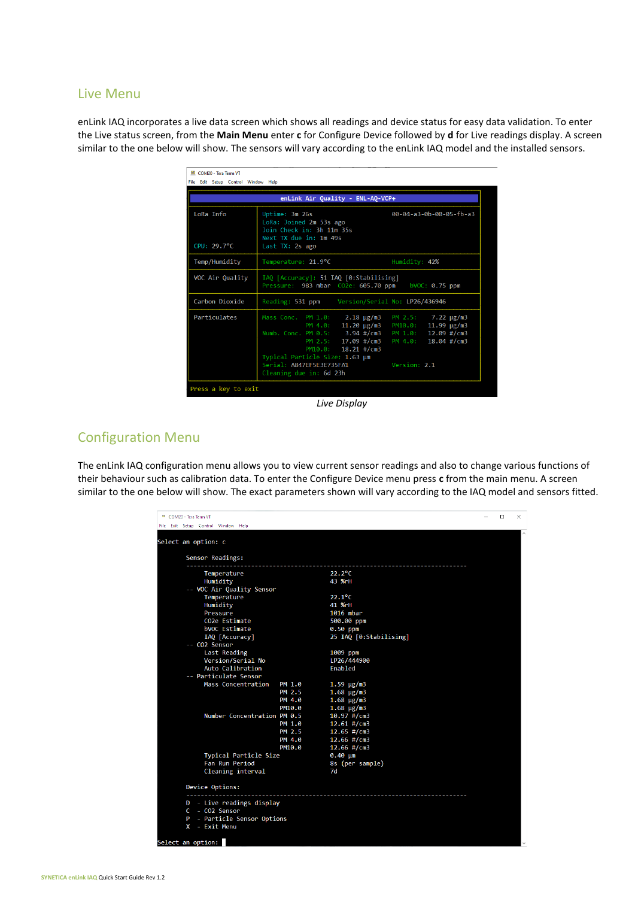#### Live Menu

enLink IAQ incorporates a live data screen which shows all readings and device status for easy data validation. To enter the Live status screen, from the **Main Menu** enter **c** for Configure Device followed by **d** for Live readings display. A screen similar to the one below will show. The sensors will vary according to the enLink IAQ model and the installed sensors.

|                          | enLink Air Quality - ENL-AQ-VCP+                                                                                                                                                                                                   |                                                                                                         |
|--------------------------|------------------------------------------------------------------------------------------------------------------------------------------------------------------------------------------------------------------------------------|---------------------------------------------------------------------------------------------------------|
| LoRa Info<br>CPU: 29.7°C | Uptime: 3m 26s<br>LoRa: Joined 2m 53s ago<br>Join Check in: 3h 11m 35s<br>Next TX due in: 1m 49s<br>Last TX: 2s ago                                                                                                                | 00-04-a3-0b-00-05-fb-a3                                                                                 |
| Temp/Humidity            | Temperature: 21.9°C                                                                                                                                                                                                                | Humidity: 42%                                                                                           |
| VOC Air Quality          | IAQ [Accuracy]: 51 IAQ [0:Stabilising]<br>Pressure: 983 mbar CO2e: 605.70 ppm                                                                                                                                                      | bVOC: $0.75$ ppm                                                                                        |
| Carbon Dioxide           | Reading: 531 ppm                                                                                                                                                                                                                   | Version/Serial No: LP26/436946                                                                          |
| Particulates             | Mass Conc. PM 1.0: 2.18 µg/m3<br>PM $4.0: 11.20 \mu g/m3$<br>Numb. Conc. PM 0.5: 3.94 #/cm3<br>PM 2.5: 17.09 #/cm3<br>PM10.0: 18.21 #/cm3<br>Typical Particle Size: 1.63 µm<br>Serial: A847EF5E3E735FA1<br>Cleaning due in: 6d 23h | PM 2.5: 7.22 µg/m3<br>PM10.0: 11.99 μg/m3<br>PM 1.0: 12.09 #/cm3<br>PM 4.0: 18.04 #/cm3<br>Version: 2.1 |

*Live Display*

#### Configuration Menu

The enLink IAQ configuration menu allows you to view current sensor readings and also to change various functions of their behaviour such as calibration data. To enter the Configure Device menu press **c** from the main menu. A screen similar to the one below will show. The exact parameters shown will vary according to the IAQ model and sensors fitted.

| Sensor Readings:             |                  |                                |  |
|------------------------------|------------------|--------------------------------|--|
| Temperature                  |                  | $22.2^{\circ}$ C               |  |
| Humidity                     |                  | 43 %rH                         |  |
| -- VOC Air Quality Sensor    |                  |                                |  |
| Temperature                  |                  | $22.1^{\circ}$ C               |  |
| Humidity                     |                  | 41 %rH                         |  |
| Pressure                     |                  | 1016 mbar                      |  |
| CO2e Estimate                |                  | 500.00 ppm                     |  |
| bVOC Estimate                |                  | $0.50$ ppm                     |  |
| IAQ [Accuracy]               |                  | 25 IAQ [0:Stabilising]         |  |
| -- CO2 Sensor                |                  |                                |  |
| Last Reading                 |                  | 1009 ppm                       |  |
| Version/Serial No            |                  | LP26/444900                    |  |
| Auto Calibration             |                  | Enabled                        |  |
| -- Particulate Sensor        |                  |                                |  |
| Mass Concentration           | PM 1.0           | $1.59 \mu g/m3$                |  |
|                              | PM 2.5           | $1.68 \mu g/m3$                |  |
|                              | PM 4.0           | $1.68 \mu g/m3$                |  |
|                              | PM10.0           | $1.68 \mu g/m3$                |  |
| Number Concentration PM 0.5  |                  | $10.97$ #/cm3<br>$12.61$ #/cm3 |  |
|                              | PM 1.0           |                                |  |
|                              | PM 2.5<br>PM 4.0 | $12.65$ #/cm3<br>$12.66$ #/cm3 |  |
|                              | PM10.0           | $12.66$ #/cm3                  |  |
| <b>Typical Particle Size</b> |                  | $0.40 \mu m$                   |  |
| Fan Run Period               |                  | 8s (per sample)                |  |
| Cleaning interval            |                  | 7d                             |  |
|                              |                  |                                |  |
| Device Options:              |                  |                                |  |
| D - Live readings display    |                  |                                |  |
| C - CO2 Sensor               |                  |                                |  |
| P - Particle Sensor Options  |                  |                                |  |
| X - Exit Menu                |                  |                                |  |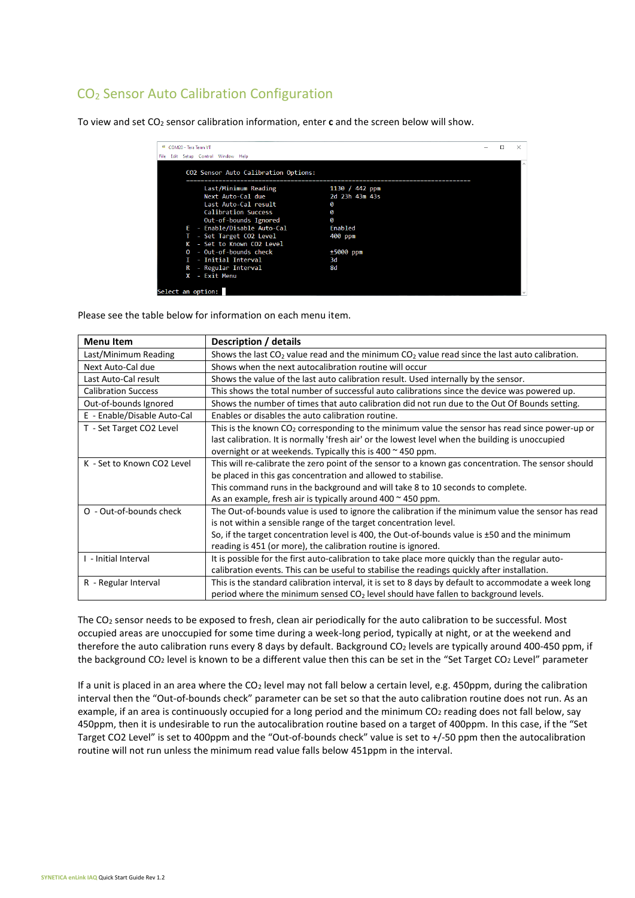#### CO<sup>2</sup> Sensor Auto Calibration Configuration

To view and set CO<sup>2</sup> sensor calibration information, enter **c** and the screen below will show.

| VT COM20 - Tera Term VT<br>File Edit Setup Control Window Help |                |  |  |
|----------------------------------------------------------------|----------------|--|--|
|                                                                |                |  |  |
| CO2 Sensor Auto Calibration Options:                           |                |  |  |
| Last/Minimum Reading                                           | 1130 / 442 ppm |  |  |
| Next Auto-Cal due                                              | 2d 23h 43m 43s |  |  |
| Last Auto-Cal result                                           | ø              |  |  |
| <b>Calibration Success</b>                                     | Ø              |  |  |
| Out-of-bounds Ignored                                          | ø              |  |  |
| E - Enable/Disable Auto-Cal                                    | Enabled        |  |  |
| - Set Target CO2 Level                                         | 400 ppm        |  |  |
| K - Set to Known CO2 Level                                     |                |  |  |
| 0 - Out-of-bounds check                                        | $±5000$ ppm    |  |  |
| - Initial Interval<br>т                                        | 3d             |  |  |
| - Regular Interval<br>R                                        | 8d             |  |  |
| - Fxit Menu<br>x                                               |                |  |  |
| Select an option:                                              |                |  |  |

Please see the table below for information on each menu item.

| <b>Menu Item</b>            | Description / details                                                                                |  |  |  |
|-----------------------------|------------------------------------------------------------------------------------------------------|--|--|--|
| Last/Minimum Reading        | Shows the last $CO2$ value read and the minimum $CO2$ value read since the last auto calibration.    |  |  |  |
| Next Auto-Cal due           | Shows when the next autocalibration routine will occur                                               |  |  |  |
| Last Auto-Cal result        | Shows the value of the last auto calibration result. Used internally by the sensor.                  |  |  |  |
| <b>Calibration Success</b>  | This shows the total number of successful auto calibrations since the device was powered up.         |  |  |  |
| Out-of-bounds Ignored       | Shows the number of times that auto calibration did not run due to the Out Of Bounds setting.        |  |  |  |
| E - Enable/Disable Auto-Cal | Enables or disables the auto calibration routine.                                                    |  |  |  |
| T - Set Target CO2 Level    | This is the known $CO2$ corresponding to the minimum value the sensor has read since power-up or     |  |  |  |
|                             | last calibration. It is normally 'fresh air' or the lowest level when the building is unoccupied     |  |  |  |
|                             | overnight or at weekends. Typically this is $400 \approx 450$ ppm.                                   |  |  |  |
| K - Set to Known CO2 Level  | This will re-calibrate the zero point of the sensor to a known gas concentration. The sensor should  |  |  |  |
|                             | be placed in this gas concentration and allowed to stabilise.                                        |  |  |  |
|                             | This command runs in the background and will take 8 to 10 seconds to complete.                       |  |  |  |
|                             | As an example, fresh air is typically around $400 \approx 450$ ppm.                                  |  |  |  |
| O - Out-of-bounds check     | The Out-of-bounds value is used to ignore the calibration if the minimum value the sensor has read   |  |  |  |
|                             | is not within a sensible range of the target concentration level.                                    |  |  |  |
|                             | So, if the target concentration level is 400, the Out-of-bounds value is ±50 and the minimum         |  |  |  |
|                             | reading is 451 (or more), the calibration routine is ignored.                                        |  |  |  |
| I - Initial Interval        | It is possible for the first auto-calibration to take place more quickly than the regular auto-      |  |  |  |
|                             | calibration events. This can be useful to stabilise the readings quickly after installation.         |  |  |  |
| R - Regular Interval        | This is the standard calibration interval, it is set to 8 days by default to accommodate a week long |  |  |  |
|                             | period where the minimum sensed $CO2$ level should have fallen to background levels.                 |  |  |  |

The CO<sup>2</sup> sensor needs to be exposed to fresh, clean air periodically for the auto calibration to be successful. Most occupied areas are unoccupied for some time during a week-long period, typically at night, or at the weekend and therefore the auto calibration runs every 8 days by default. Background CO<sub>2</sub> levels are typically around 400-450 ppm, if the background CO<sub>2</sub> level is known to be a different value then this can be set in the "Set Target CO<sub>2</sub> Level" parameter

If a unit is placed in an area where the  $CO<sub>2</sub>$  level may not fall below a certain level, e.g. 450ppm, during the calibration interval then the "Out-of-bounds check" parameter can be set so that the auto calibration routine does not run. As an example, if an area is continuously occupied for a long period and the minimum CO<sub>2</sub> reading does not fall below, say 450ppm, then it is undesirable to run the autocalibration routine based on a target of 400ppm. In this case, if the "Set Target CO2 Level" is set to 400ppm and the "Out-of-bounds check" value is set to +/-50 ppm then the autocalibration routine will not run unless the minimum read value falls below 451ppm in the interval.